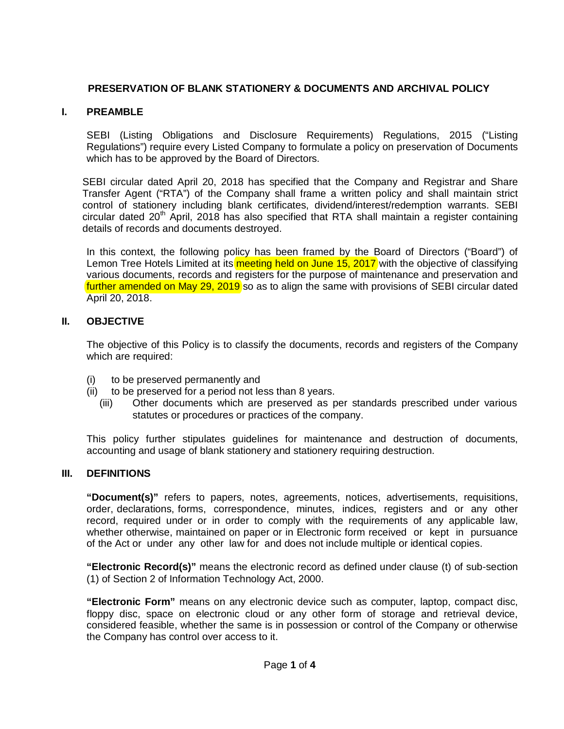# **PRESERVATION OF BLANK STATIONERY & DOCUMENTS AND ARCHIVAL POLICY**

## **I. PREAMBLE**

SEBI (Listing Obligations and Disclosure Requirements) Regulations, 2015 ("Listing Regulations") require every Listed Company to formulate a policy on preservation of Documents which has to be approved by the Board of Directors.

SEBI circular dated April 20, 2018 has specified that the Company and Registrar and Share Transfer Agent ("RTA") of the Company shall frame a written policy and shall maintain strict control of stationery including blank certificates, dividend/interest/redemption warrants. SEBI circular dated 20<sup>th</sup> April, 2018 has also specified that RTA shall maintain a register containing details of records and documents destroyed.

In this context, the following policy has been framed by the Board of Directors ("Board") of Lemon Tree Hotels Limited at its meeting held on June 15, 2017 with the objective of classifying various documents, records and registers for the purpose of maintenance and preservation and further amended on May 29, 2019 so as to align the same with provisions of SEBI circular dated April 20, 2018.

## **II. OBJECTIVE**

The objective of this Policy is to classify the documents, records and registers of the Company which are required:

- (i) to be preserved permanently and
- (ii) to be preserved for a period not less than 8 years.
	- (iii) Other documents which are preserved as per standards prescribed under various statutes or procedures or practices of the company.

This policy further stipulates guidelines for maintenance and destruction of documents, accounting and usage of blank stationery and stationery requiring destruction.

#### **III. DEFINITIONS**

**"Document(s)"** refers to papers, notes, agreements, notices, advertisements, requisitions, order, declarations, forms, correspondence, minutes, indices, registers and or any other record, required under or in order to comply with the requirements of any applicable law, whether otherwise, maintained on paper or in Electronic form received or kept in pursuance of the Act or under any other law for and does not include multiple or identical copies.

**"Electronic Record(s)"** means the electronic record as defined under clause (t) of sub-section (1) of Section 2 of Information Technology Act, 2000.

**"Electronic Form"** means on any electronic device such as computer, laptop, compact disc, floppy disc, space on electronic cloud or any other form of storage and retrieval device, considered feasible, whether the same is in possession or control of the Company or otherwise the Company has control over access to it.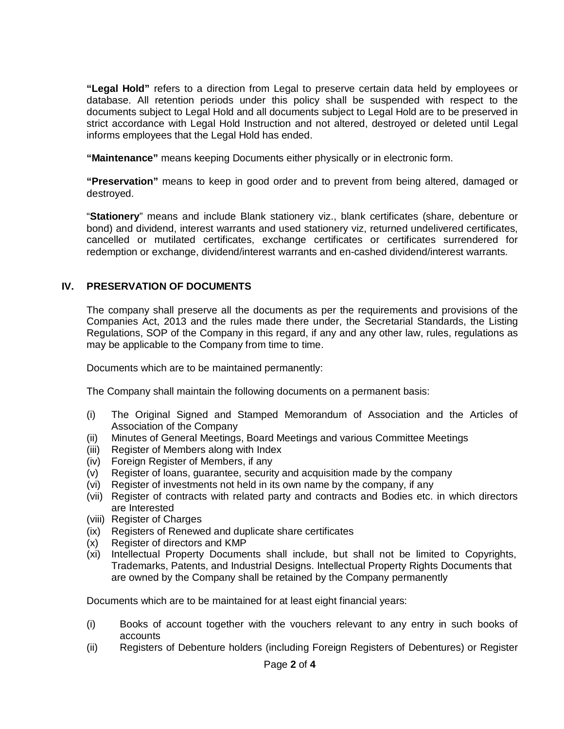**"Legal Hold"** refers to a direction from Legal to preserve certain data held by employees or database. All retention periods under this policy shall be suspended with respect to the documents subject to Legal Hold and all documents subject to Legal Hold are to be preserved in strict accordance with Legal Hold Instruction and not altered, destroyed or deleted until Legal informs employees that the Legal Hold has ended.

**"Maintenance"** means keeping Documents either physically or in electronic form.

**"Preservation"** means to keep in good order and to prevent from being altered, damaged or destroyed.

"**Stationery**" means and include Blank stationery viz., blank certificates (share, debenture or bond) and dividend, interest warrants and used stationery viz, returned undelivered certificates, cancelled or mutilated certificates, exchange certificates or certificates surrendered for redemption or exchange, dividend/interest warrants and en-cashed dividend/interest warrants.

# **IV. PRESERVATION OF DOCUMENTS**

The company shall preserve all the documents as per the requirements and provisions of the Companies Act, 2013 and the rules made there under, the Secretarial Standards, the Listing Regulations, SOP of the Company in this regard, if any and any other law, rules, regulations as may be applicable to the Company from time to time.

Documents which are to be maintained permanently:

The Company shall maintain the following documents on a permanent basis:

- (i) The Original Signed and Stamped Memorandum of Association and the Articles of Association of the Company
- (ii) Minutes of General Meetings, Board Meetings and various Committee Meetings
- (iii) Register of Members along with Index
- (iv) Foreign Register of Members, if any
- (v) Register of loans, guarantee, security and acquisition made by the company
- (vi) Register of investments not held in its own name by the company, if any
- (vii) Register of contracts with related party and contracts and Bodies etc. in which directors are Interested
- (viii) Register of Charges
- (ix) Registers of Renewed and duplicate share certificates
- (x) Register of directors and KMP
- (xi) Intellectual Property Documents shall include, but shall not be limited to Copyrights, Trademarks, Patents, and Industrial Designs. Intellectual Property Rights Documents that are owned by the Company shall be retained by the Company permanently

Documents which are to be maintained for at least eight financial years:

- (i) Books of account together with the vouchers relevant to any entry in such books of accounts
- (ii) Registers of Debenture holders (including Foreign Registers of Debentures) or Register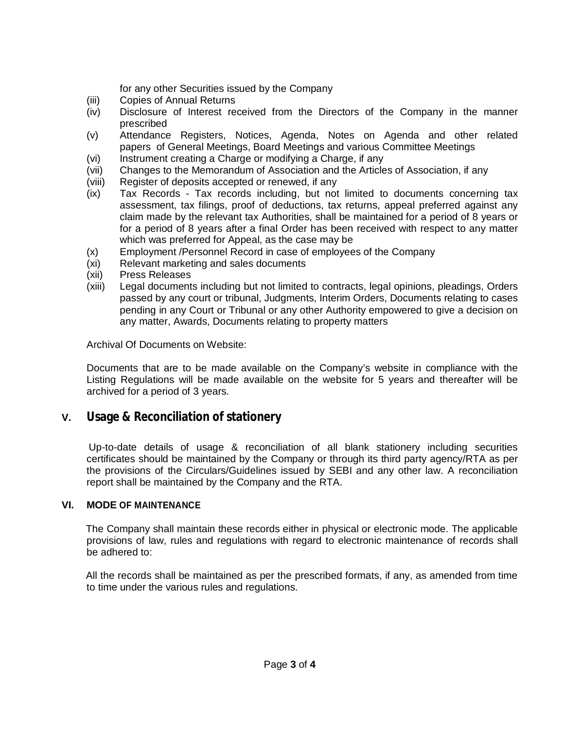for any other Securities issued by the Company

- (iii) Copies of Annual Returns
- (iv) Disclosure of Interest received from the Directors of the Company in the manner prescribed
- (v) Attendance Registers, Notices, Agenda, Notes on Agenda and other related papers of General Meetings, Board Meetings and various Committee Meetings
- (vi) Instrument creating a Charge or modifying a Charge, if any
- (vii) Changes to the Memorandum of Association and the Articles of Association, if any
- (viii) Register of deposits accepted or renewed, if any
- (ix) Tax Records Tax records including, but not limited to documents concerning tax assessment, tax filings, proof of deductions, tax returns, appeal preferred against any claim made by the relevant tax Authorities, shall be maintained for a period of 8 years or for a period of 8 years after a final Order has been received with respect to any matter which was preferred for Appeal, as the case may be
- (x) Employment /Personnel Record in case of employees of the Company
- (xi) Relevant marketing and sales documents
- (xii) Press Releases
- (xiii) Legal documents including but not limited to contracts, legal opinions, pleadings, Orders passed by any court or tribunal, Judgments, Interim Orders, Documents relating to cases pending in any Court or Tribunal or any other Authority empowered to give a decision on any matter, Awards, Documents relating to property matters

Archival Of Documents on Website:

Documents that are to be made available on the Company's website in compliance with the Listing Regulations will be made available on the website for 5 years and thereafter will be archived for a period of 3 years.

# **V. Usage & Reconciliation of stationery**

Up-to-date details of usage & reconciliation of all blank stationery including securities certificates should be maintained by the Company or through its third party agency/RTA as per the provisions of the Circulars/Guidelines issued by SEBI and any other law. A reconciliation report shall be maintained by the Company and the RTA.

#### **VI. MODE OF MAINTENANCE**

The Company shall maintain these records either in physical or electronic mode. The applicable provisions of law, rules and regulations with regard to electronic maintenance of records shall be adhered to:

All the records shall be maintained as per the prescribed formats, if any, as amended from time to time under the various rules and regulations.